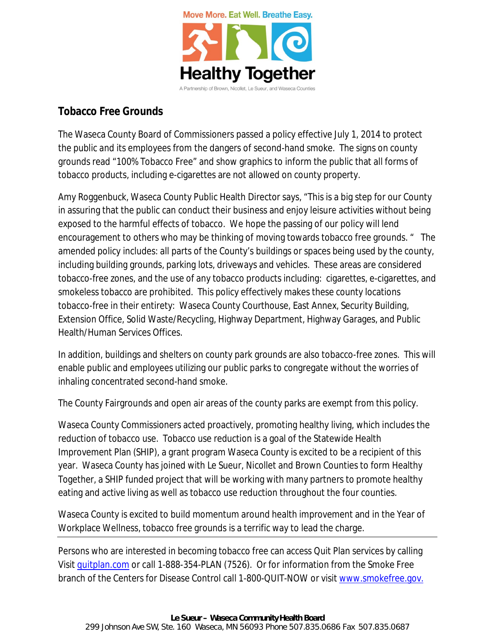

## **Tobacco Free Grounds**

The Waseca County Board of Commissioners passed a policy effective July 1, 2014 to protect the public and its employees from the dangers of second-hand smoke. The signs on county grounds read "100% Tobacco Free" and show graphics to inform the public that all forms of tobacco products, including e-cigarettes are not allowed on county property.

Amy Roggenbuck, Waseca County Public Health Director says, "This is a big step for our County in assuring that the public can conduct their business and enjoy leisure activities without being exposed to the harmful effects of tobacco. We hope the passing of our policy will lend encouragement to others who may be thinking of moving towards tobacco free grounds. " The amended policy includes: all parts of the County's buildings or spaces being used by the county, including building grounds, parking lots, driveways and vehicles. These areas are considered tobacco-free zones, and the use of any tobacco products including: cigarettes, e-cigarettes, and smokeless tobacco are prohibited. This policy effectively makes these county locations tobacco-free in their entirety: Waseca County Courthouse, East Annex, Security Building, Extension Office, Solid Waste/Recycling, Highway Department, Highway Garages, and Public Health/Human Services Offices.

In addition, buildings and shelters on county park grounds are also tobacco-free zones. This will enable public and employees utilizing our public parks to congregate without the worries of inhaling concentrated second-hand smoke.

The County Fairgrounds and open air areas of the county parks are exempt from this policy.

Waseca County Commissioners acted proactively, promoting healthy living, which includes the reduction of tobacco use. Tobacco use reduction is a goal of the Statewide Health Improvement Plan (SHIP), a grant program Waseca County is excited to be a recipient of this year. Waseca County has joined with Le Sueur, Nicollet and Brown Counties to form Healthy Together, a SHIP funded project that will be working with many partners to promote healthy eating and active living as well as tobacco use reduction throughout the four counties.

Waseca County is excited to build momentum around health improvement and in the Year of Workplace Wellness, tobacco free grounds is a terrific way to lead the charge.

Persons who are interested in becoming tobacco free can access Quit Plan services by calling Visit [quitplan.com](http://www.quitplan.com) or call 1-888-354-PLAN (7526). Or for information from the Smoke Free branch of the Centers for Disease Control call 1-800-QUIT-NOW or visit www.smokefree.gov.